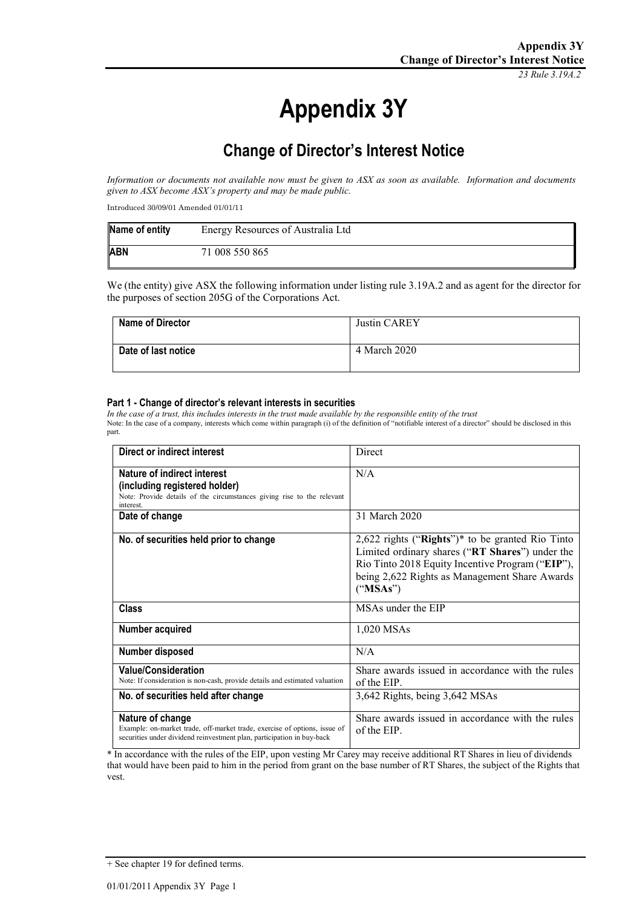*23 Rule 3.19A.2*

# **Appendix 3Y**

# **Change of Director's Interest Notice**

*Information or documents not available now must be given to ASX as soon as available. Information and documents given to ASX become ASX's property and may be made public.*

Introduced 30/09/01 Amended 01/01/11

| Name of entity | Energy Resources of Australia Ltd |
|----------------|-----------------------------------|
| <b>ABN</b>     | 71 008 550 865                    |

We (the entity) give ASX the following information under listing rule 3.19A.2 and as agent for the director for the purposes of section 205G of the Corporations Act.

| <b>Name of Director</b> | <b>Justin CAREY</b> |
|-------------------------|---------------------|
| Date of last notice     | 4 March 2020        |

#### **Part 1 - Change of director's relevant interests in securities**

*In the case of a trust, this includes interests in the trust made available by the responsible entity of the trust* Note: In the case of a company, interests which come within paragraph (i) of the definition of "notifiable interest of a director" should be disclosed in this part.

| Direct or indirect interest                                                                                                                                             | Direct                                                                                                                                                                                                                 |
|-------------------------------------------------------------------------------------------------------------------------------------------------------------------------|------------------------------------------------------------------------------------------------------------------------------------------------------------------------------------------------------------------------|
| Nature of indirect interest<br>(including registered holder)<br>Note: Provide details of the circumstances giving rise to the relevant<br>interest.                     | N/A                                                                                                                                                                                                                    |
| Date of change                                                                                                                                                          | 31 March 2020                                                                                                                                                                                                          |
| No. of securities held prior to change                                                                                                                                  | $2,622$ rights ("Rights")* to be granted Rio Tinto<br>Limited ordinary shares ("RT Shares") under the<br>Rio Tinto 2018 Equity Incentive Program ("EIP"),<br>being 2,622 Rights as Management Share Awards<br>("MSAs") |
| <b>Class</b>                                                                                                                                                            | MSAs under the EIP                                                                                                                                                                                                     |
| Number acquired                                                                                                                                                         | 1,020 MSAs                                                                                                                                                                                                             |
| Number disposed                                                                                                                                                         | N/A                                                                                                                                                                                                                    |
| <b>Value/Consideration</b><br>Note: If consideration is non-cash, provide details and estimated valuation                                                               | Share awards issued in accordance with the rules<br>of the EIP.                                                                                                                                                        |
| No. of securities held after change                                                                                                                                     | 3,642 Rights, being 3,642 MSAs                                                                                                                                                                                         |
| Nature of change<br>Example: on-market trade, off-market trade, exercise of options, issue of<br>securities under dividend reinvestment plan, participation in buy-back | Share awards issued in accordance with the rules<br>of the EIP.                                                                                                                                                        |

\* In accordance with the rules of the EIP, upon vesting Mr Carey may receive additional RT Shares in lieu of dividends that would have been paid to him in the period from grant on the base number of RT Shares, the subject of the Rights that vest.

<sup>+</sup> See chapter 19 for defined terms.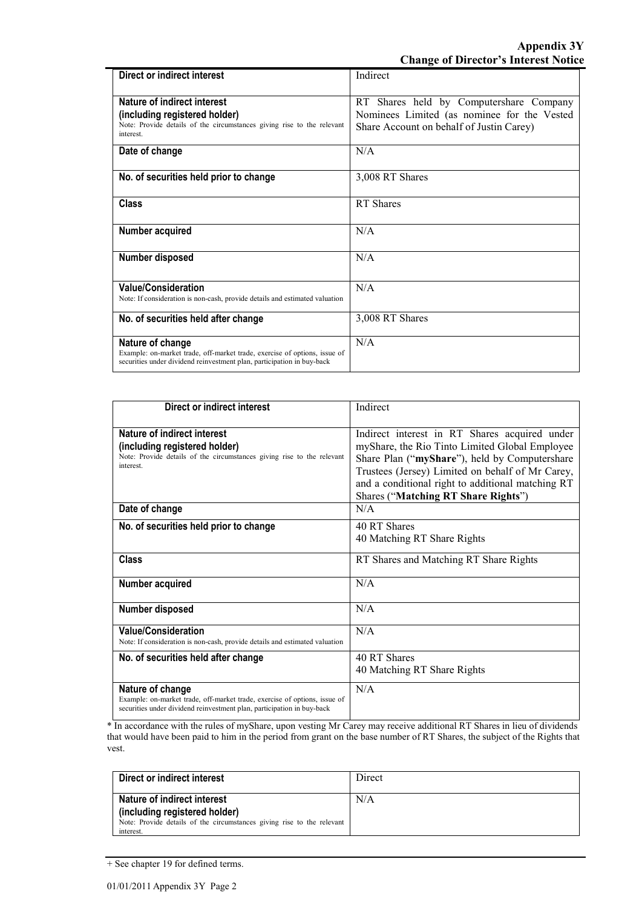| Direct or indirect interest                                                                                                                                             | Indirect                                                                                                                           |
|-------------------------------------------------------------------------------------------------------------------------------------------------------------------------|------------------------------------------------------------------------------------------------------------------------------------|
| Nature of indirect interest<br>(including registered holder)<br>Note: Provide details of the circumstances giving rise to the relevant<br>interest.                     | RT Shares held by Computershare Company<br>Nominees Limited (as nominee for the Vested<br>Share Account on behalf of Justin Carey) |
| Date of change                                                                                                                                                          | N/A                                                                                                                                |
| No. of securities held prior to change                                                                                                                                  | 3,008 RT Shares                                                                                                                    |
| <b>Class</b>                                                                                                                                                            | <b>RT</b> Shares                                                                                                                   |
| Number acquired                                                                                                                                                         | N/A                                                                                                                                |
| Number disposed                                                                                                                                                         | N/A                                                                                                                                |
| <b>Value/Consideration</b><br>Note: If consideration is non-cash, provide details and estimated valuation                                                               | N/A                                                                                                                                |
| No. of securities held after change                                                                                                                                     | 3,008 RT Shares                                                                                                                    |
| Nature of change<br>Example: on-market trade, off-market trade, exercise of options, issue of<br>securities under dividend reinvestment plan, participation in buy-back | N/A                                                                                                                                |

| Direct or indirect interest                                                                                                                                             | Indirect                                                                                                                                                                                                                                                                                         |
|-------------------------------------------------------------------------------------------------------------------------------------------------------------------------|--------------------------------------------------------------------------------------------------------------------------------------------------------------------------------------------------------------------------------------------------------------------------------------------------|
| Nature of indirect interest<br>(including registered holder)<br>Note: Provide details of the circumstances giving rise to the relevant<br>interest.                     | Indirect interest in RT Shares acquired under<br>myShare, the Rio Tinto Limited Global Employee<br>Share Plan ("myShare"), held by Computershare<br>Trustees (Jersey) Limited on behalf of Mr Carey,<br>and a conditional right to additional matching RT<br>Shares ("Matching RT Share Rights") |
| Date of change                                                                                                                                                          | N/A                                                                                                                                                                                                                                                                                              |
| No. of securities held prior to change                                                                                                                                  | 40 RT Shares<br>40 Matching RT Share Rights                                                                                                                                                                                                                                                      |
| Class                                                                                                                                                                   | RT Shares and Matching RT Share Rights                                                                                                                                                                                                                                                           |
| Number acquired                                                                                                                                                         | N/A                                                                                                                                                                                                                                                                                              |
| Number disposed                                                                                                                                                         | N/A                                                                                                                                                                                                                                                                                              |
| <b>Value/Consideration</b><br>Note: If consideration is non-cash, provide details and estimated valuation                                                               | N/A                                                                                                                                                                                                                                                                                              |
| No. of securities held after change                                                                                                                                     | 40 RT Shares<br>40 Matching RT Share Rights                                                                                                                                                                                                                                                      |
| Nature of change<br>Example: on-market trade, off-market trade, exercise of options, issue of<br>securities under dividend reinvestment plan, participation in buy-back | N/A                                                                                                                                                                                                                                                                                              |

\* In accordance with the rules of myShare, upon vesting Mr Carey may receive additional RT Shares in lieu of dividends that would have been paid to him in the period from grant on the base number of RT Shares, the subject of the Rights that vest.

| Direct or indirect interest                                            | Direct |
|------------------------------------------------------------------------|--------|
| Nature of indirect interest                                            | N/A    |
| (including registered holder)                                          |        |
| Note: Provide details of the circumstances giving rise to the relevant |        |
| interest.                                                              |        |

<sup>+</sup> See chapter 19 for defined terms.